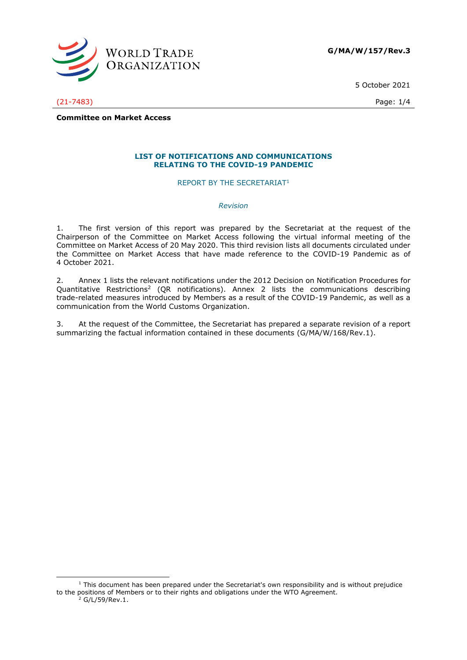

5 October 2021

(21-7483) Page: 1/4

**Committee on Market Access**

#### **LIST OF NOTIFICATIONS AND COMMUNICATIONS RELATING TO THE COVID-19 PANDEMIC**

REPORT BY THE SECRETARIAT<sup>1</sup>

#### *Revision*

1. The first version of this report was prepared by the Secretariat at the request of the Chairperson of the Committee on Market Access following the virtual informal meeting of the Committee on Market Access of 20 May 2020. This third revision lists all documents circulated under the Committee on Market Access that have made reference to the COVID-19 Pandemic as of 4 October 2021.

2. Annex 1 lists the relevant notifications under the 2012 Decision on Notification Procedures for Quantitative Restrictions<sup>2</sup> (QR notifications). Annex 2 lists the communications describing trade-related measures introduced by Members as a result of the COVID-19 Pandemic, as well as a communication from the World Customs Organization.

3. At the request of the Committee, the Secretariat has prepared a separate revision of a report summarizing the factual information contained in these documents (G/MA/W/168/Rev.1).

<sup>&</sup>lt;sup>1</sup> This document has been prepared under the Secretariat's own responsibility and is without prejudice to the positions of Members or to their rights and obligations under the WTO Agreement.

<sup>2</sup> G/L/59/Rev.1.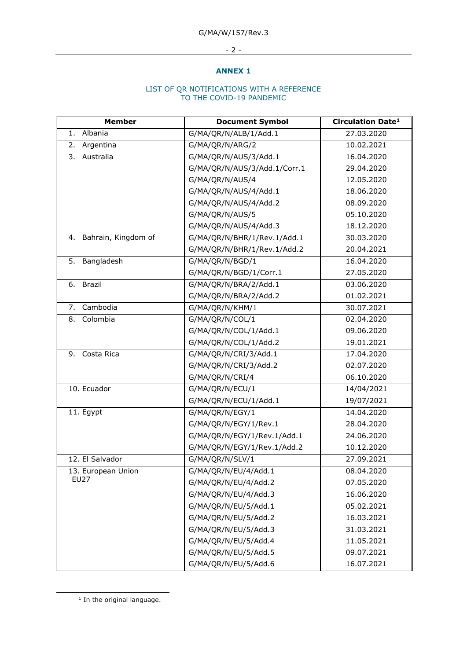# - 2 -

### **ANNEX 1**

#### LIST OF QR NOTIFICATIONS WITH A REFERENCE TO THE COVID-19 PANDEMIC

| <b>Member</b>             | <b>Document Symbol</b>       | <b>Circulation Date<sup>1</sup></b> |
|---------------------------|------------------------------|-------------------------------------|
| 1. Albania                | G/MA/QR/N/ALB/1/Add.1        | 27.03.2020                          |
| 2.<br>Argentina           | G/MA/QR/N/ARG/2              | 10.02.2021                          |
| Australia<br>3.           | G/MA/QR/N/AUS/3/Add.1        | 16.04.2020                          |
|                           | G/MA/QR/N/AUS/3/Add.1/Corr.1 | 29.04.2020                          |
|                           | G/MA/QR/N/AUS/4              | 12.05.2020                          |
|                           | G/MA/QR/N/AUS/4/Add.1        | 18.06.2020                          |
|                           | G/MA/QR/N/AUS/4/Add.2        | 08.09.2020                          |
|                           | G/MA/QR/N/AUS/5              | 05.10.2020                          |
|                           | G/MA/QR/N/AUS/4/Add.3        | 18.12.2020                          |
| Bahrain, Kingdom of<br>4. | G/MA/QR/N/BHR/1/Rev.1/Add.1  | 30.03.2020                          |
|                           | G/MA/QR/N/BHR/1/Rev.1/Add.2  | 20.04.2021                          |
| 5.<br>Bangladesh          | G/MA/QR/N/BGD/1              | 16.04.2020                          |
|                           | G/MA/QR/N/BGD/1/Corr.1       | 27.05.2020                          |
| <b>Brazil</b><br>6.       | G/MA/QR/N/BRA/2/Add.1        | 03.06.2020                          |
|                           | G/MA/QR/N/BRA/2/Add.2        | 01.02.2021                          |
| 7. Cambodia               | G/MA/QR/N/KHM/1              | 30.07.2021                          |
| 8.<br>Colombia            | G/MA/QR/N/COL/1              | 02.04.2020                          |
|                           | G/MA/QR/N/COL/1/Add.1        | 09.06.2020                          |
|                           | G/MA/QR/N/COL/1/Add.2        | 19.01.2021                          |
| Costa Rica<br>9.          | G/MA/QR/N/CRI/3/Add.1        | 17.04.2020                          |
|                           | G/MA/QR/N/CRI/3/Add.2        | 02.07.2020                          |
|                           | G/MA/QR/N/CRI/4              | 06.10.2020                          |
| 10. Ecuador               | G/MA/QR/N/ECU/1              | 14/04/2021                          |
|                           | G/MA/QR/N/ECU/1/Add.1        | 19/07/2021                          |
| 11. Egypt                 | G/MA/QR/N/EGY/1              | 14.04.2020                          |
|                           | G/MA/QR/N/EGY/1/Rev.1        | 28.04.2020                          |
|                           | G/MA/QR/N/EGY/1/Rev.1/Add.1  | 24.06.2020                          |
|                           | G/MA/QR/N/EGY/1/Rev.1/Add.2  | 10.12.2020                          |
| 12. El Salvador           | G/MA/QR/N/SLV/1              | 27.09.2021                          |
| 13. European Union        | G/MA/QR/N/EU/4/Add.1         | 08.04.2020                          |
| <b>EU27</b>               | G/MA/QR/N/EU/4/Add.2         | 07.05.2020                          |
|                           | G/MA/QR/N/EU/4/Add.3         | 16.06.2020                          |
|                           | G/MA/QR/N/EU/5/Add.1         | 05.02.2021                          |
|                           | G/MA/QR/N/EU/5/Add.2         | 16.03.2021                          |
|                           | G/MA/QR/N/EU/5/Add.3         | 31.03.2021                          |
|                           | G/MA/QR/N/EU/5/Add.4         | 11.05.2021                          |
|                           | G/MA/QR/N/EU/5/Add.5         | 09.07.2021                          |
|                           | G/MA/QR/N/EU/5/Add.6         | 16.07.2021                          |

 $<sup>1</sup>$  In the original language.</sup>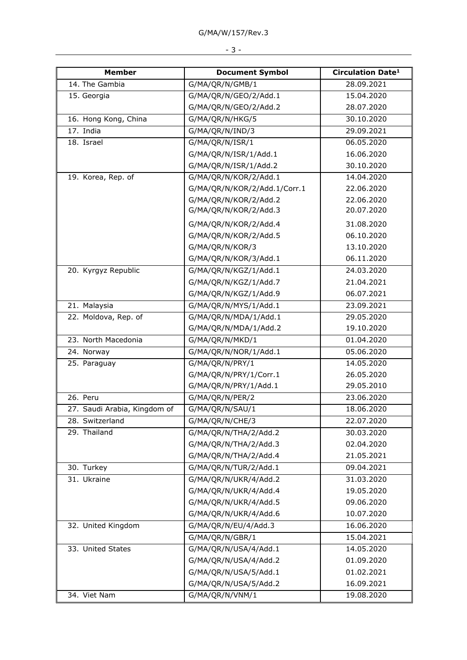| <b>Member</b>                | <b>Document Symbol</b>       | <b>Circulation Date<sup>1</sup></b> |
|------------------------------|------------------------------|-------------------------------------|
| 14. The Gambia               | G/MA/QR/N/GMB/1              | 28.09.2021                          |
| 15. Georgia                  | G/MA/QR/N/GEO/2/Add.1        | 15.04.2020                          |
|                              | G/MA/QR/N/GEO/2/Add.2        | 28.07.2020                          |
| 16. Hong Kong, China         | G/MA/QR/N/HKG/5              | 30.10.2020                          |
| 17. India                    | G/MA/QR/N/IND/3              | 29.09.2021                          |
| 18. Israel                   | G/MA/QR/N/ISR/1              | 06.05.2020                          |
|                              | G/MA/QR/N/ISR/1/Add.1        | 16.06.2020                          |
|                              | G/MA/QR/N/ISR/1/Add.2        | 30.10.2020                          |
| 19. Korea, Rep. of           | G/MA/QR/N/KOR/2/Add.1        | 14.04.2020                          |
|                              | G/MA/QR/N/KOR/2/Add.1/Corr.1 | 22.06.2020                          |
|                              | G/MA/QR/N/KOR/2/Add.2        | 22.06.2020                          |
|                              | G/MA/QR/N/KOR/2/Add.3        | 20.07.2020                          |
|                              | G/MA/QR/N/KOR/2/Add.4        | 31.08.2020                          |
|                              | G/MA/QR/N/KOR/2/Add.5        | 06.10.2020                          |
|                              | G/MA/QR/N/KOR/3              | 13.10.2020                          |
|                              | G/MA/QR/N/KOR/3/Add.1        | 06.11.2020                          |
| 20. Kyrgyz Republic          | G/MA/QR/N/KGZ/1/Add.1        | 24.03.2020                          |
|                              | G/MA/QR/N/KGZ/1/Add.7        | 21.04.2021                          |
|                              | G/MA/QR/N/KGZ/1/Add.9        | 06.07.2021                          |
| 21. Malaysia                 | G/MA/QR/N/MYS/1/Add.1        | 23.09.2021                          |
| 22. Moldova, Rep. of         | G/MA/QR/N/MDA/1/Add.1        | 29.05.2020                          |
|                              | G/MA/QR/N/MDA/1/Add.2        | 19.10.2020                          |
| 23. North Macedonia          | G/MA/QR/N/MKD/1              | 01.04.2020                          |
| 24. Norway                   | G/MA/QR/N/NOR/1/Add.1        | 05.06.2020                          |
| 25. Paraguay                 | G/MA/QR/N/PRY/1              | 14.05.2020                          |
|                              | G/MA/QR/N/PRY/1/Corr.1       | 26.05.2020                          |
|                              | G/MA/QR/N/PRY/1/Add.1        | 29.05.2010                          |
| 26. Peru                     | G/MA/QR/N/PER/2              | 23.06.2020                          |
| 27. Saudi Arabia, Kingdom of | G/MA/QR/N/SAU/1              | 18.06.2020                          |
| 28. Switzerland              | G/MA/QR/N/CHE/3              | 22.07.2020                          |
| 29. Thailand                 | G/MA/QR/N/THA/2/Add.2        | 30.03.2020                          |
|                              | G/MA/QR/N/THA/2/Add.3        | 02.04.2020                          |
|                              | G/MA/QR/N/THA/2/Add.4        | 21.05.2021                          |
| 30. Turkey                   | G/MA/QR/N/TUR/2/Add.1        | 09.04.2021                          |
| 31. Ukraine                  | G/MA/QR/N/UKR/4/Add.2        | 31.03.2020                          |
|                              | G/MA/QR/N/UKR/4/Add.4        | 19.05.2020                          |
|                              | G/MA/QR/N/UKR/4/Add.5        | 09.06.2020                          |
|                              | G/MA/QR/N/UKR/4/Add.6        | 10.07.2020                          |
| 32. United Kingdom           | G/MA/QR/N/EU/4/Add.3         | 16.06.2020                          |
|                              | G/MA/QR/N/GBR/1              | 15.04.2021                          |
| 33. United States            | G/MA/QR/N/USA/4/Add.1        | 14.05.2020                          |
|                              | G/MA/QR/N/USA/4/Add.2        | 01.09.2020                          |
|                              | G/MA/QR/N/USA/5/Add.1        | 01.02.2021                          |
|                              | G/MA/QR/N/USA/5/Add.2        | 16.09.2021                          |
| 34. Viet Nam                 | G/MA/QR/N/VNM/1              | 19.08.2020                          |